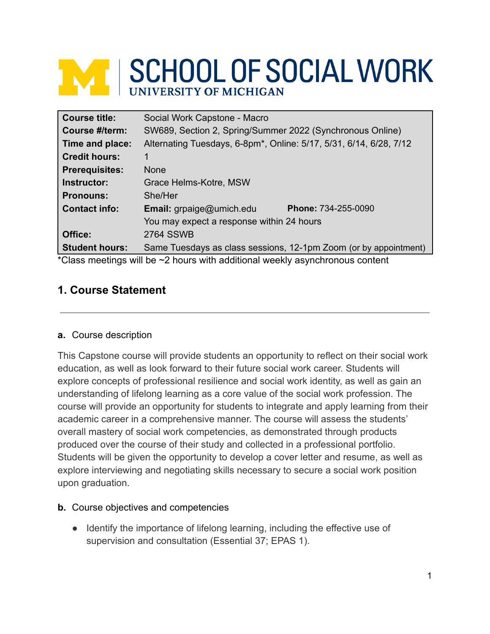# **NAME SCHOOL OF SOCIAL WORK**

| <b>Course title:</b>                                                               | Social Work Capstone - Macro                                       |  |  |
|------------------------------------------------------------------------------------|--------------------------------------------------------------------|--|--|
| Course #/term:                                                                     | SW689, Section 2, Spring/Summer 2022 (Synchronous Online)          |  |  |
| Time and place:                                                                    | Alternating Tuesdays, 6-8pm*, Online: 5/17, 5/31, 6/14, 6/28, 7/12 |  |  |
| <b>Credit hours:</b>                                                               |                                                                    |  |  |
| <b>Prerequisites:</b>                                                              | <b>None</b>                                                        |  |  |
| Instructor:                                                                        | Grace Helms-Kotre, MSW                                             |  |  |
| <b>Pronouns:</b>                                                                   | She/Her                                                            |  |  |
| <b>Contact info:</b>                                                               | <b>Phone: 734-255-0090</b><br>Email: grpaige@umich.edu             |  |  |
|                                                                                    | You may expect a response within 24 hours                          |  |  |
| Office:                                                                            | <b>2764 SSWB</b>                                                   |  |  |
| <b>Student hours:</b>                                                              | Same Tuesdays as class sessions, 12-1pm Zoom (or by appointment)   |  |  |
| *Class meetings will be $\sim$ 2 hours with additional weekly asynchronous content |                                                                    |  |  |

# **1. Course Statement**

#### **a.** Course description

This Capstone course will provide students an opportunity to reflect on their social work education, as well as look forward to their future social work career. Students will explore concepts of professional resilience and social work identity, as well as gain an understanding of lifelong learning as a core value of the social work profession. The course will provide an opportunity for students to integrate and apply learning from their academic career in a comprehensive manner. The course will assess the students' overall mastery of social work competencies, as demonstrated through products produced over the course of their study and collected in a professional portfolio. Students will be given the opportunity to develop a cover letter and resume, as well as explore interviewing and negotiating skills necessary to secure a social work position upon graduation.

#### **b.** Course objectives and competencies

● Identify the importance of lifelong learning, including the effective use of supervision and consultation (Essential 37; EPAS 1).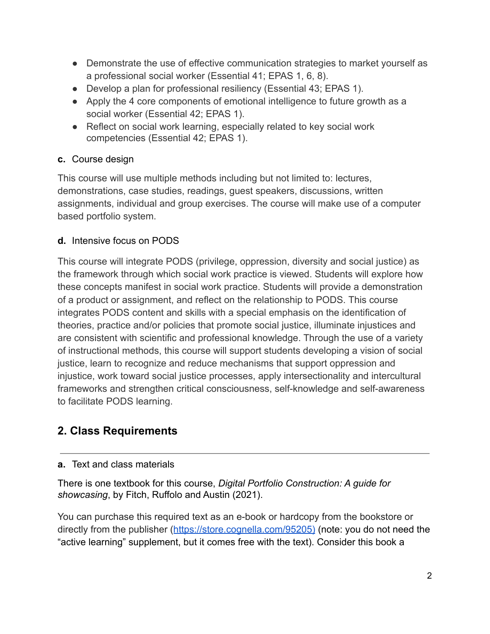- Demonstrate the use of effective communication strategies to market yourself as a professional social worker (Essential 41; EPAS 1, 6, 8).
- Develop a plan for professional resiliency (Essential 43; EPAS 1).
- Apply the 4 core components of emotional intelligence to future growth as a social worker (Essential 42; EPAS 1).
- Reflect on social work learning, especially related to key social work competencies (Essential 42; EPAS 1).

# **c.** Course design

This course will use multiple methods including but not limited to: lectures, demonstrations, case studies, readings, guest speakers, discussions, written assignments, individual and group exercises. The course will make use of a computer based portfolio system.

# **d.** Intensive focus on PODS

This course will integrate PODS (privilege, oppression, diversity and social justice) as the framework through which social work practice is viewed. Students will explore how these concepts manifest in social work practice. Students will provide a demonstration of a product or assignment, and reflect on the relationship to PODS. This course integrates PODS content and skills with a special emphasis on the identification of theories, practice and/or policies that promote social justice, illuminate injustices and are consistent with scientific and professional knowledge. Through the use of a variety of instructional methods, this course will support students developing a vision of social justice, learn to recognize and reduce mechanisms that support oppression and injustice, work toward social justice processes, apply intersectionality and intercultural frameworks and strengthen critical consciousness, self-knowledge and self-awareness to facilitate PODS learning.

# **2. Class Requirements**

## **a.** Text and class materials

There is one textbook for this course, *Digital Portfolio Construction: A guide for showcasing*, by Fitch, Ruffolo and Austin (2021).

You can purchase this required text as an e-book or hardcopy from the bookstore or directly from the publisher (<https://store.cognella.com/95205>) (note: you do not need the "active learning" supplement, but it comes free with the text). Consider this book a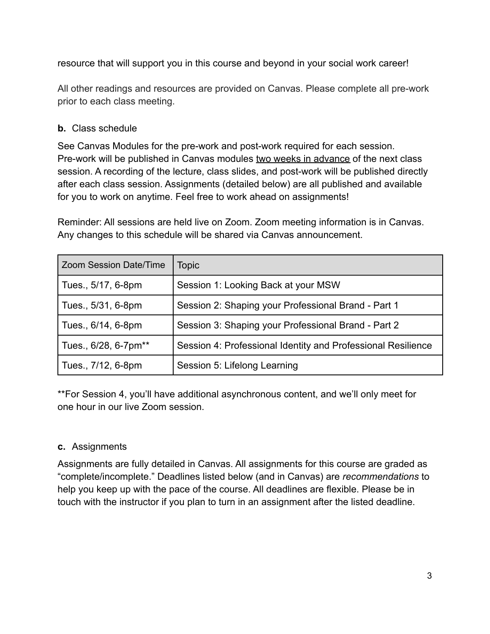resource that will support you in this course and beyond in your social work career!

All other readings and resources are provided on Canvas. Please complete all pre-work prior to each class meeting.

#### **b.** Class schedule

See Canvas Modules for the pre-work and post-work required for each session. Pre-work will be published in Canvas modules two weeks in advance of the next class session. A recording of the lecture, class slides, and post-work will be published directly after each class session. Assignments (detailed below) are all published and available for you to work on anytime. Feel free to work ahead on assignments!

Reminder: All sessions are held live on Zoom. Zoom meeting information is in Canvas. Any changes to this schedule will be shared via Canvas announcement.

| Zoom Session Date/Time | <b>Topic</b>                                                 |
|------------------------|--------------------------------------------------------------|
| Tues., 5/17, 6-8pm     | Session 1: Looking Back at your MSW                          |
| Tues., 5/31, 6-8pm     | Session 2: Shaping your Professional Brand - Part 1          |
| Tues., 6/14, 6-8pm     | Session 3: Shaping your Professional Brand - Part 2          |
| Tues., 6/28, 6-7pm**   | Session 4: Professional Identity and Professional Resilience |
| Tues., 7/12, 6-8pm     | Session 5: Lifelong Learning                                 |

\*\*For Session 4, you'll have additional asynchronous content, and we'll only meet for one hour in our live Zoom session.

#### **c.** Assignments

Assignments are fully detailed in Canvas. All assignments for this course are graded as "complete/incomplete." Deadlines listed below (and in Canvas) are *recommendations* to help you keep up with the pace of the course. All deadlines are flexible. Please be in touch with the instructor if you plan to turn in an assignment after the listed deadline.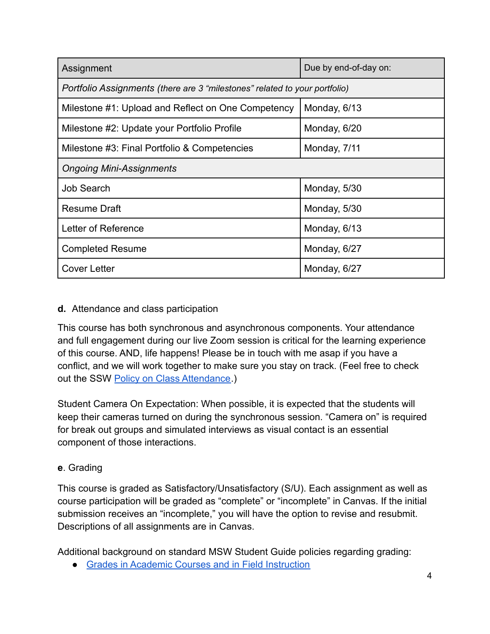| Assignment                                                                 | Due by end-of-day on: |  |  |
|----------------------------------------------------------------------------|-----------------------|--|--|
| Portfolio Assignments (there are 3 "milestones" related to your portfolio) |                       |  |  |
| Milestone #1: Upload and Reflect on One Competency                         | Monday, 6/13          |  |  |
| Milestone #2: Update your Portfolio Profile                                | Monday, 6/20          |  |  |
| Milestone #3: Final Portfolio & Competencies                               | Monday, 7/11          |  |  |
| <b>Ongoing Mini-Assignments</b>                                            |                       |  |  |
| <b>Job Search</b>                                                          | Monday, 5/30          |  |  |
| <b>Resume Draft</b>                                                        | Monday, 5/30          |  |  |
| Letter of Reference                                                        | Monday, 6/13          |  |  |
| <b>Completed Resume</b>                                                    | Monday, 6/27          |  |  |
| <b>Cover Letter</b>                                                        | Monday, 6/27          |  |  |

#### **d.** Attendance and class participation

This course has both synchronous and asynchronous components. Your attendance and full engagement during our live Zoom session is critical for the learning experience of this course. AND, life happens! Please be in touch with me asap if you have a conflict, and we will work together to make sure you stay on track. (Feel free to check out the SSW [Policy on Class Attendance.](https://ssw.umich.edu/msw-student-guide/section/1.09.00/17/policy-on-class-attendance))

Student Camera On Expectation: When possible, it is expected that the students will keep their cameras turned on during the synchronous session. "Camera on" is required for break out groups and simulated interviews as visual contact is an essential component of those interactions.

#### **e**. Grading

This course is graded as Satisfactory/Unsatisfactory (S/U). Each assignment as well as course participation will be graded as "complete" or "incomplete" in Canvas. If the initial submission receives an "incomplete," you will have the option to revise and resubmit. Descriptions of all assignments are in Canvas.

Additional background on standard MSW Student Guide policies regarding grading:

● [Grades in Academic Courses and in Field Instruction](https://ssw.umich.edu/msw-student-guide/chapter/1.07/grades-in-academic-courses-and-in-field-education)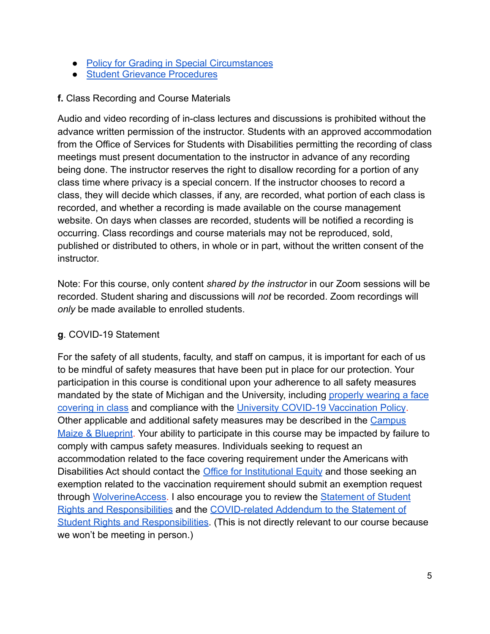- [Policy for Grading in Special Circumstances](https://ssw.umich.edu/msw-student-guide/section/1.08.01/15/grades-for-special-circumstances)
- [Student Grievance Procedures](https://ssw.umich.edu/my-ssw/msw-forms/grievance-process)

#### **f.** Class Recording and Course Materials

Audio and video recording of in-class lectures and discussions is prohibited without the advance written permission of the instructor. Students with an approved accommodation from the Office of Services for Students with Disabilities permitting the recording of class meetings must present documentation to the instructor in advance of any recording being done. The instructor reserves the right to disallow recording for a portion of any class time where privacy is a special concern. If the instructor chooses to record a class, they will decide which classes, if any, are recorded, what portion of each class is recorded, and whether a recording is made available on the course management website. On days when classes are recorded, students will be notified a recording is occurring. Class recordings and course materials may not be reproduced, sold, published or distributed to others, in whole or in part, without the written consent of the instructor.

Note: For this course, only content *shared by the instructor* in our Zoom sessions will be recorded. Student sharing and discussions will *not* be recorded. Zoom recordings will *only* be made available to enrolled students.

#### **g**. COVID-19 Statement

For the safety of all students, faculty, and staff on campus, it is important for each of us to be mindful of safety measures that have been put in place for our protection. Your participation in this course is conditional upon your adherence to all safety measures mandated by the state of Michigan and the University, including [properly wearing a face](https://ehs.umich.edu/wp-content/uploads/2020/07/U-M-Face-Covering-Policy-for-COVID-19.pdf) [covering in class](https://ehs.umich.edu/wp-content/uploads/2020/07/U-M-Face-Covering-Policy-for-COVID-19.pdf) and compliance with the University [COVID-19 Vaccination Policy](https://ehs.umich.edu/wp-content/uploads/2021/07/COVID-19_Vaccination_Policy.pdf). Other applicable and additional safety measures may be described in the [Campus](https://campusblueprint.umich.edu/students) [Maize & Blueprint](https://campusblueprint.umich.edu/students). Your ability to participate in this course may be impacted by failure to comply with campus safety measures. Individuals seeking to request an accommodation related to the face covering requirement under the Americans with Disabilities Act should contact the [Office for Institutional](https://oie.umich.edu/american-with-disabilities-act-ada/) Equity and those seeking an exemption related to the vaccination requirement should submit an exemption request through [WolverineAccess.](https://wolverineaccess.umich.edu/collection/all/covid-19) I also encourage you to review the [Statement of Student](https://oscr.umich.edu/statement#1) [Rights and Responsibilities](https://oscr.umich.edu/statement#1) and the COVID-related [Addendum to the Statement of](https://oscr.umich.edu/sites/oscr.umich.edu/files/2020_statement_addendum_final_approved.pdf) [Student Rights and Responsibilities.](https://oscr.umich.edu/sites/oscr.umich.edu/files/2020_statement_addendum_final_approved.pdf) (This is not directly relevant to our course because we won't be meeting in person.)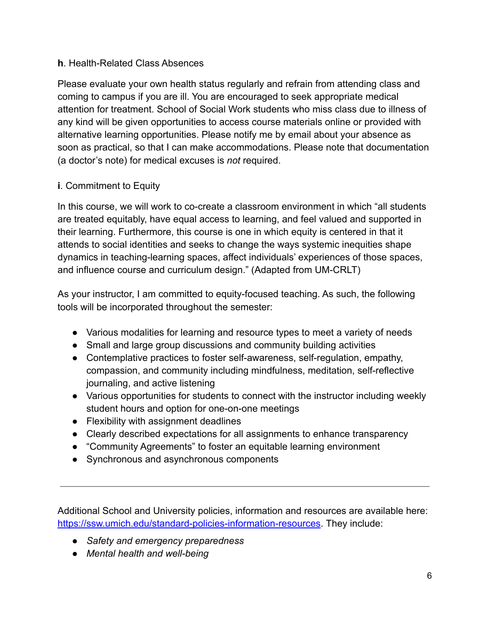#### **h**. Health-Related Class Absences

Please evaluate your own health status regularly and refrain from attending class and coming to campus if you are ill. You are encouraged to seek appropriate medical attention for treatment. School of Social Work students who miss class due to illness of any kind will be given opportunities to access course materials online or provided with alternative learning opportunities. Please notify me by email about your absence as soon as practical, so that I can make accommodations. Please note that documentation (a doctor's note) for medical excuses is *not* required.

## **i**. Commitment to Equity

In this course, we will work to co-create a classroom environment in which "all students are treated equitably, have equal access to learning, and feel valued and supported in their learning. Furthermore, this course is one in which equity is centered in that it attends to social identities and seeks to change the ways systemic inequities shape dynamics in teaching-learning spaces, affect individuals' experiences of those spaces, and influence course and curriculum design." (Adapted from UM-CRLT)

As your instructor, I am committed to equity-focused teaching. As such, the following tools will be incorporated throughout the semester:

- Various modalities for learning and resource types to meet a variety of needs
- Small and large group discussions and community building activities
- Contemplative practices to foster self-awareness, self-regulation, empathy, compassion, and community including mindfulness, meditation, self-reflective journaling, and active listening
- Various opportunities for students to connect with the instructor including weekly student hours and option for one-on-one meetings
- Flexibility with assignment deadlines
- Clearly described expectations for all assignments to enhance transparency
- "Community Agreements" to foster an equitable learning environment
- Synchronous and asynchronous components

Additional School and University policies, information and resources are available here: [https://ssw.umich.edu/standard-policies-information-resources.](https://ssw.umich.edu/standard-policies-information-resources) They include:

- *● Safety and emergency preparedness*
- *● Mental health and well-being*